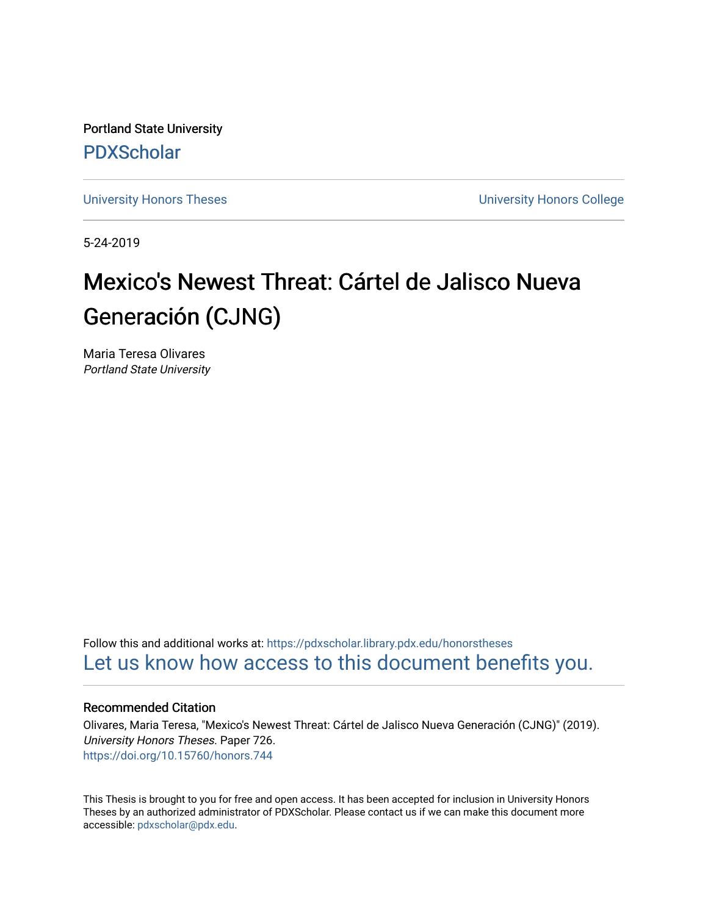Portland State University [PDXScholar](https://pdxscholar.library.pdx.edu/)

[University Honors Theses](https://pdxscholar.library.pdx.edu/honorstheses) [University Honors College](https://pdxscholar.library.pdx.edu/honors) 

5-24-2019

# Mexico's Newest Threat: Cártel de Jalisco Nueva Generación (CJNG)

Maria Teresa Olivares Portland State University

Follow this and additional works at: [https://pdxscholar.library.pdx.edu/honorstheses](https://pdxscholar.library.pdx.edu/honorstheses?utm_source=pdxscholar.library.pdx.edu%2Fhonorstheses%2F726&utm_medium=PDF&utm_campaign=PDFCoverPages)  [Let us know how access to this document benefits you.](http://library.pdx.edu/services/pdxscholar-services/pdxscholar-feedback/) 

# Recommended Citation

Olivares, Maria Teresa, "Mexico's Newest Threat: Cártel de Jalisco Nueva Generación (CJNG)" (2019). University Honors Theses. Paper 726. <https://doi.org/10.15760/honors.744>

This Thesis is brought to you for free and open access. It has been accepted for inclusion in University Honors Theses by an authorized administrator of PDXScholar. Please contact us if we can make this document more accessible: [pdxscholar@pdx.edu.](mailto:pdxscholar@pdx.edu)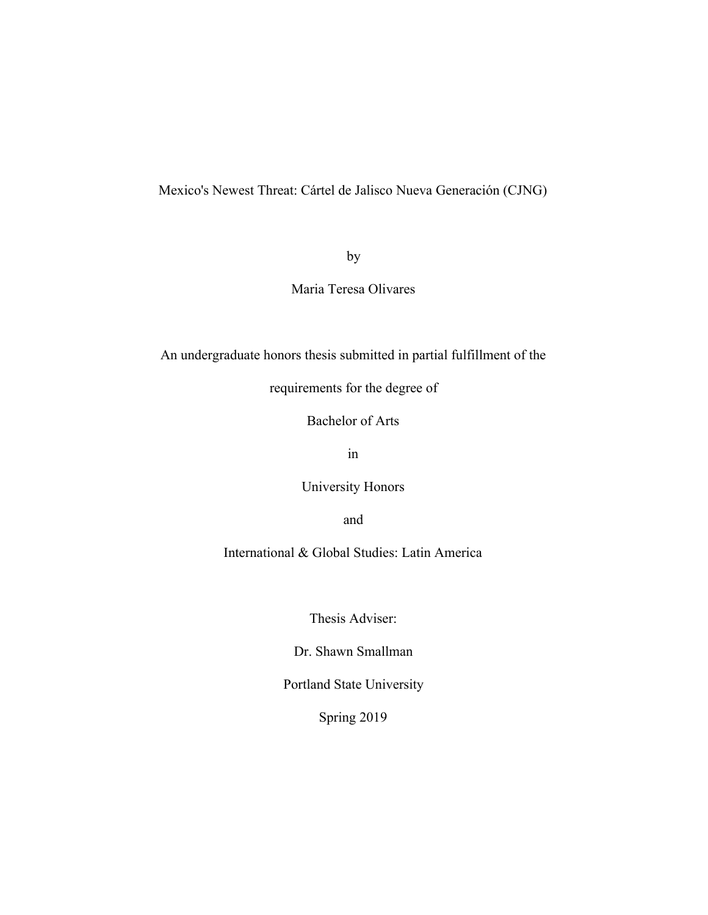Mexico's Newest Threat: Cártel de Jalisco Nueva Generación (CJNG)

by

Maria Teresa Olivares

An undergraduate honors thesis submitted in partial fulfillment of the

requirements for the degree of

Bachelor of Arts

in

University Honors

and

International & Global Studies: Latin America

Thesis Adviser:

Dr. Shawn Smallman

Portland State University

Spring 2019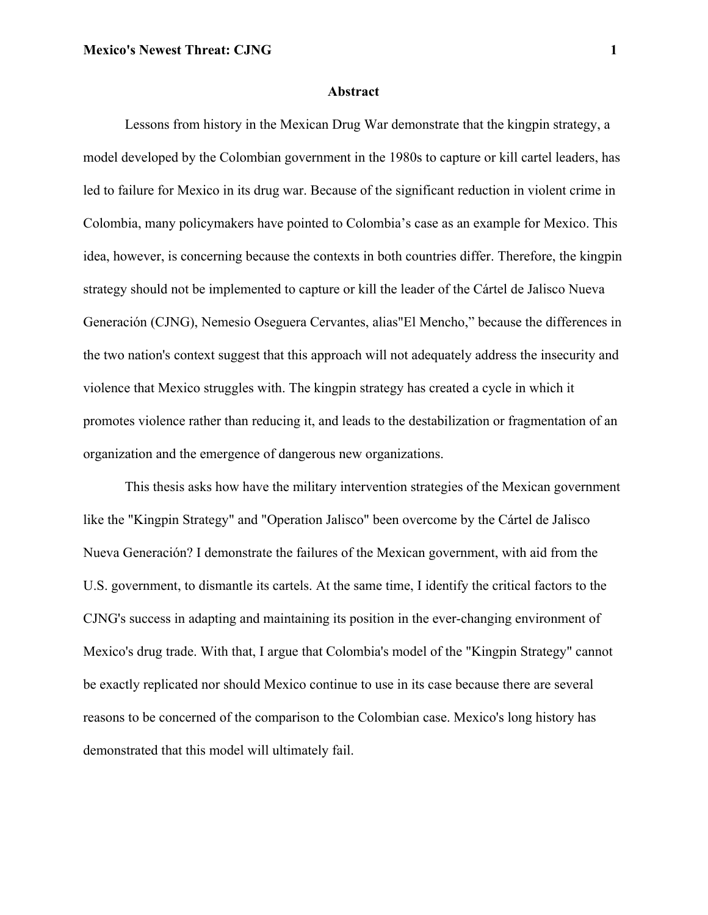#### **Abstract**

Lessons from history in the Mexican Drug War demonstrate that the kingpin strategy, a model developed by the Colombian government in the 1980s to capture or kill cartel leaders, has led to failure for Mexico in its drug war. Because of the significant reduction in violent crime in Colombia, many policymakers have pointed to Colombia's case as an example for Mexico. This idea, however, is concerning because the contexts in both countries differ. Therefore, the kingpin strategy should not be implemented to capture or kill the leader of the Cártel de Jalisco Nueva Generación (CJNG), Nemesio Oseguera Cervantes, alias"El Mencho," because the differences in the two nation's context suggest that this approach will not adequately address the insecurity and violence that Mexico struggles with. The kingpin strategy has created a cycle in which it promotes violence rather than reducing it, and leads to the destabilization or fragmentation of an organization and the emergence of dangerous new organizations.

This thesis asks how have the military intervention strategies of the Mexican government like the "Kingpin Strategy" and "Operation Jalisco" been overcome by the Cártel de Jalisco Nueva Generación? I demonstrate the failures of the Mexican government, with aid from the U.S. government, to dismantle its cartels. At the same time, I identify the critical factors to the CJNG's success in adapting and maintaining its position in the ever-changing environment of Mexico's drug trade. With that, I argue that Colombia's model of the "Kingpin Strategy" cannot be exactly replicated nor should Mexico continue to use in its case because there are several reasons to be concerned of the comparison to the Colombian case. Mexico's long history has demonstrated that this model will ultimately fail.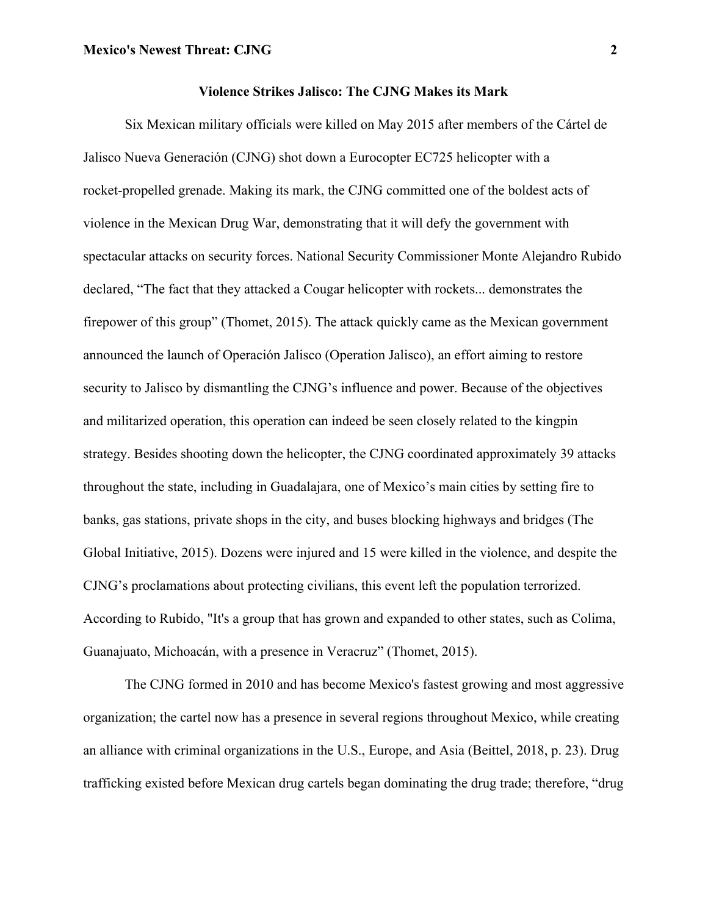Six Mexican military officials were killed on May 2015 after members of the Cártel de Jalisco Nueva Generación (CJNG) shot down a Eurocopter EC725 helicopter with a rocket-propelled grenade. Making its mark, the CJNG committed one of the boldest acts of violence in the Mexican Drug War, demonstrating that it will defy the government with spectacular attacks on security forces. National Security Commissioner Monte Alejandro Rubido declared, "The fact that they attacked a Cougar helicopter with rockets... demonstrates the firepower of this group" (Thomet, 2015). The attack quickly came as the Mexican government announced the launch of Operación Jalisco (Operation Jalisco), an effort aiming to restore security to Jalisco by dismantling the CJNG's influence and power. Because of the objectives and militarized operation, this operation can indeed be seen closely related to the kingpin strategy. Besides shooting down the helicopter, the CJNG coordinated approximately 39 attacks throughout the state, including in Guadalajara, one of Mexico's main cities by setting fire to banks, gas stations, private shops in the city, and buses blocking highways and bridges (The Global Initiative, 2015). Dozens were injured and 15 were killed in the violence, and despite the CJNG's proclamations about protecting civilians, this event left the population terrorized. According to Rubido, "It's a group that has grown and expanded to other states, such as Colima, Guanajuato, Michoacán, with a presence in Veracruz" (Thomet, 2015).

The CJNG formed in 2010 and has become Mexico's fastest growing and most aggressive organization; the cartel now has a presence in several regions throughout Mexico, while creating an alliance with criminal organizations in the U.S., Europe, and Asia (Beittel, 2018, p. 23). Drug trafficking existed before Mexican drug cartels began dominating the drug trade; therefore, "drug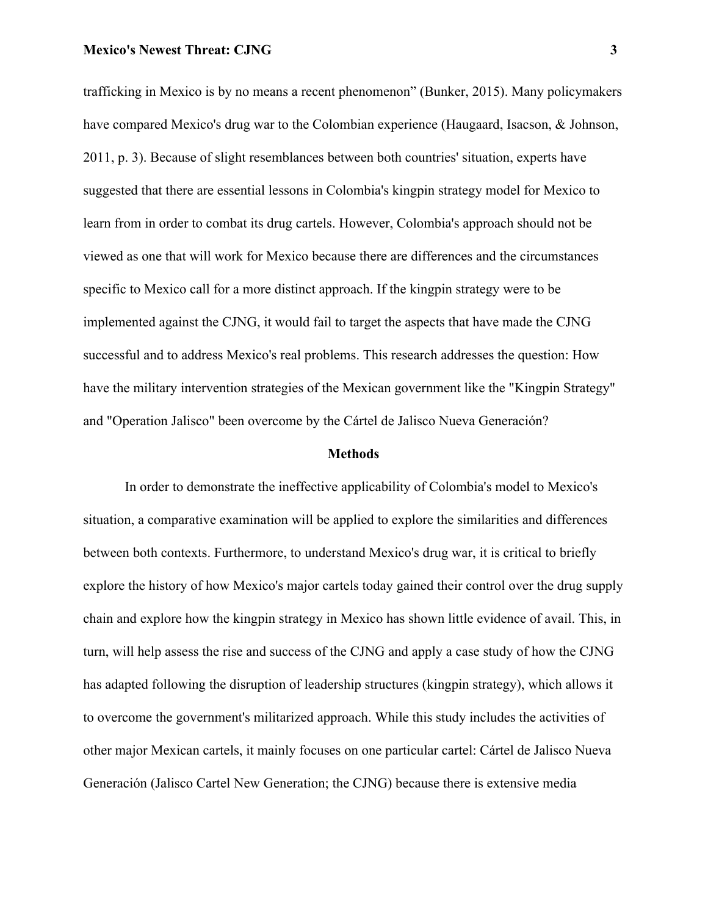trafficking in Mexico is by no means a recent phenomenon" (Bunker, 2015). Many policymakers have compared Mexico's drug war to the Colombian experience (Haugaard, Isacson, & Johnson, 2011, p. 3). Because of slight resemblances between both countries' situation, experts have suggested that there are essential lessons in Colombia's kingpin strategy model for Mexico to learn from in order to combat its drug cartels. However, Colombia's approach should not be viewed as one that will work for Mexico because there are differences and the circumstances specific to Mexico call for a more distinct approach. If the kingpin strategy were to be implemented against the CJNG, it would fail to target the aspects that have made the CJNG successful and to address Mexico's real problems. This research addresses the question: How have the military intervention strategies of the Mexican government like the "Kingpin Strategy" and "Operation Jalisco" been overcome by the Cártel de Jalisco Nueva Generación?

#### **Methods**

In order to demonstrate the ineffective applicability of Colombia's model to Mexico's situation, a comparative examination will be applied to explore the similarities and differences between both contexts. Furthermore, to understand Mexico's drug war, it is critical to briefly explore the history of how Mexico's major cartels today gained their control over the drug supply chain and explore how the kingpin strategy in Mexico has shown little evidence of avail. This, in turn, will help assess the rise and success of the CJNG and apply a case study of how the CJNG has adapted following the disruption of leadership structures (kingpin strategy), which allows it to overcome the government's militarized approach. While this study includes the activities of other major Mexican cartels, it mainly focuses on one particular cartel: Cártel de Jalisco Nueva Generación (Jalisco Cartel New Generation; the CJNG) because there is extensive media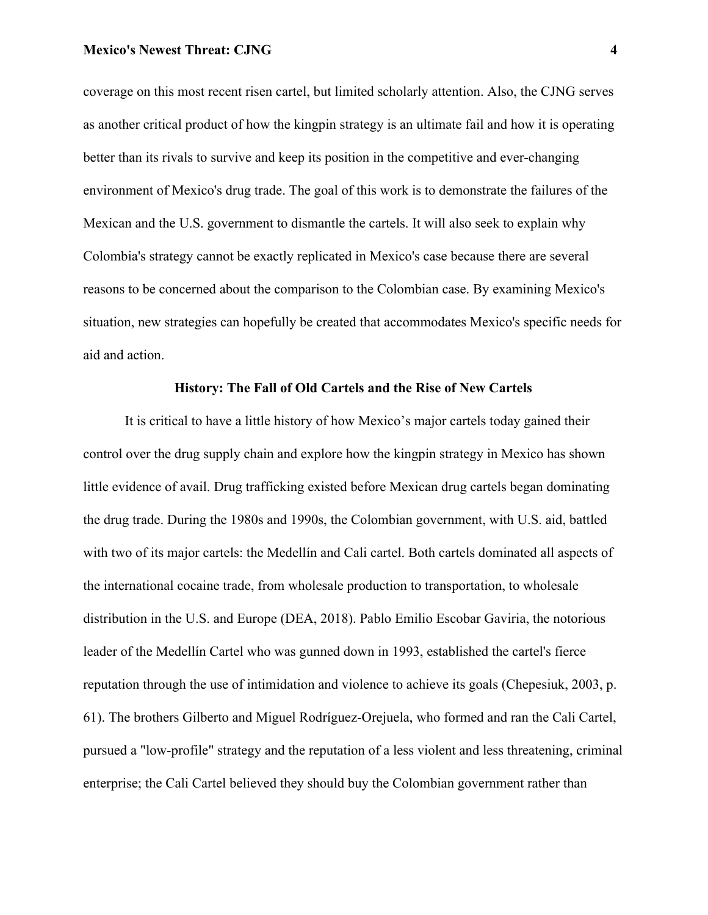coverage on this most recent risen cartel, but limited scholarly attention. Also, the CJNG serves as another critical product of how the kingpin strategy is an ultimate fail and how it is operating better than its rivals to survive and keep its position in the competitive and ever-changing environment of Mexico's drug trade. The goal of this work is to demonstrate the failures of the Mexican and the U.S. government to dismantle the cartels. It will also seek to explain why Colombia's strategy cannot be exactly replicated in Mexico's case because there are several reasons to be concerned about the comparison to the Colombian case. By examining Mexico's situation, new strategies can hopefully be created that accommodates Mexico's specific needs for aid and action.

# **History: The Fall of Old Cartels and the Rise of New Cartels**

It is critical to have a little history of how Mexico's major cartels today gained their control over the drug supply chain and explore how the kingpin strategy in Mexico has shown little evidence of avail. Drug trafficking existed before Mexican drug cartels began dominating the drug trade. During the 1980s and 1990s, the Colombian government, with U.S. aid, battled with two of its major cartels: the Medellín and Cali cartel. Both cartels dominated all aspects of the international cocaine trade, from wholesale production to transportation, to wholesale distribution in the U.S. and Europe (DEA, 2018). Pablo Emilio Escobar Gaviria, the notorious leader of the Medellín Cartel who was gunned down in 1993, established the cartel's fierce reputation through the use of intimidation and violence to achieve its goals (Chepesiuk, 2003, p. 61). The brothers Gilberto and Miguel Rodríguez-Orejuela, who formed and ran the Cali Cartel, pursued a "low-profile" strategy and the reputation of a less violent and less threatening, criminal enterprise; the Cali Cartel believed they should buy the Colombian government rather than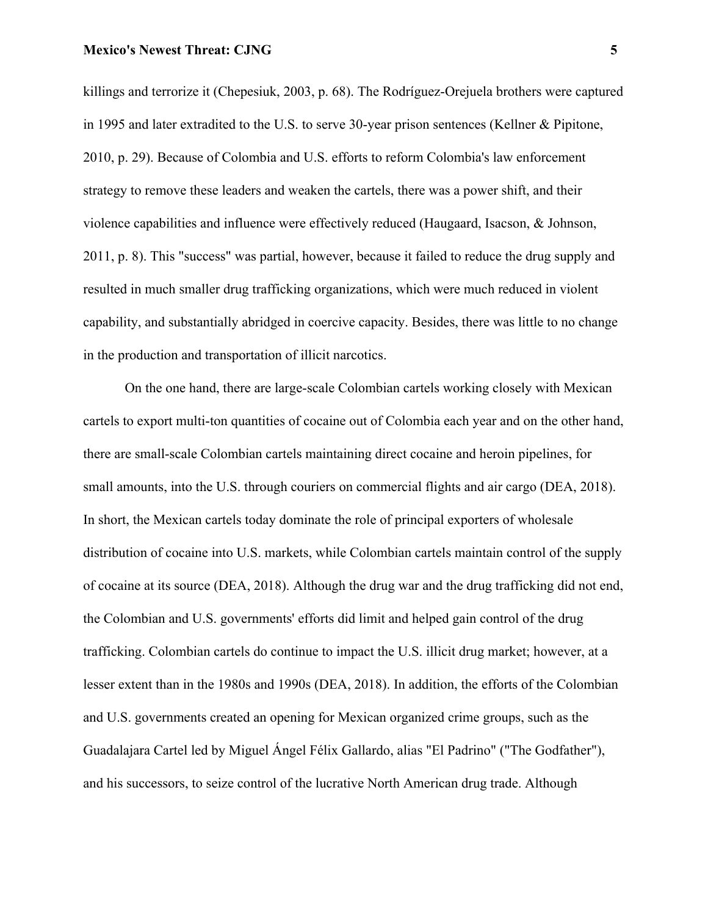killings and terrorize it (Chepesiuk, 2003, p. 68). The Rodríguez-Orejuela brothers were captured in 1995 and later extradited to the U.S. to serve 30-year prison sentences (Kellner & Pipitone, 2010, p. 29). Because of Colombia and U.S. efforts to reform Colombia's law enforcement strategy to remove these leaders and weaken the cartels, there was a power shift, and their violence capabilities and influence were effectively reduced (Haugaard, Isacson, & Johnson, 2011, p. 8). This "success" was partial, however, because it failed to reduce the drug supply and resulted in much smaller drug trafficking organizations, which were much reduced in violent capability, and substantially abridged in coercive capacity. Besides, there was little to no change in the production and transportation of illicit narcotics.

On the one hand, there are large-scale Colombian cartels working closely with Mexican cartels to export multi-ton quantities of cocaine out of Colombia each year and on the other hand, there are small-scale Colombian cartels maintaining direct cocaine and heroin pipelines, for small amounts, into the U.S. through couriers on commercial flights and air cargo (DEA, 2018). In short, the Mexican cartels today dominate the role of principal exporters of wholesale distribution of cocaine into U.S. markets, while Colombian cartels maintain control of the supply of cocaine at its source (DEA, 2018). Although the drug war and the drug trafficking did not end, the Colombian and U.S. governments' efforts did limit and helped gain control of the drug trafficking. Colombian cartels do continue to impact the U.S. illicit drug market; however, at a lesser extent than in the 1980s and 1990s (DEA, 2018). In addition, the efforts of the Colombian and U.S. governments created an opening for Mexican organized crime groups, such as the Guadalajara Cartel led by Miguel Ángel Félix Gallardo, alias "El Padrino" ("The Godfather"), and his successors, to seize control of the lucrative North American drug trade. Although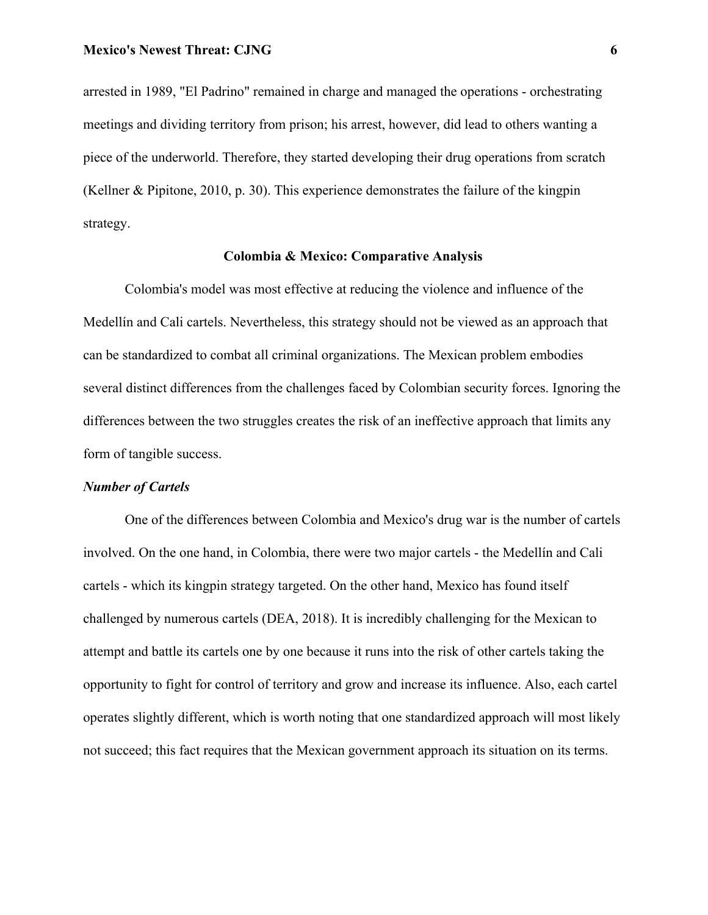arrested in 1989, "El Padrino" remained in charge and managed the operations - orchestrating meetings and dividing territory from prison; his arrest, however, did lead to others wanting a piece of the underworld. Therefore, they started developing their drug operations from scratch (Kellner & Pipitone, 2010, p. 30). This experience demonstrates the failure of the kingpin strategy.

# **Colombia & Mexico: Comparative Analysis**

Colombia's model was most effective at reducing the violence and influence of the Medellín and Cali cartels. Nevertheless, this strategy should not be viewed as an approach that can be standardized to combat all criminal organizations. The Mexican problem embodies several distinct differences from the challenges faced by Colombian security forces. Ignoring the differences between the two struggles creates the risk of an ineffective approach that limits any form of tangible success.

## *Number of Cartels*

One of the differences between Colombia and Mexico's drug war is the number of cartels involved. On the one hand, in Colombia, there were two major cartels - the Medellín and Cali cartels - which its kingpin strategy targeted. On the other hand, Mexico has found itself challenged by numerous cartels (DEA, 2018). It is incredibly challenging for the Mexican to attempt and battle its cartels one by one because it runs into the risk of other cartels taking the opportunity to fight for control of territory and grow and increase its influence. Also, each cartel operates slightly different, which is worth noting that one standardized approach will most likely not succeed; this fact requires that the Mexican government approach its situation on its terms.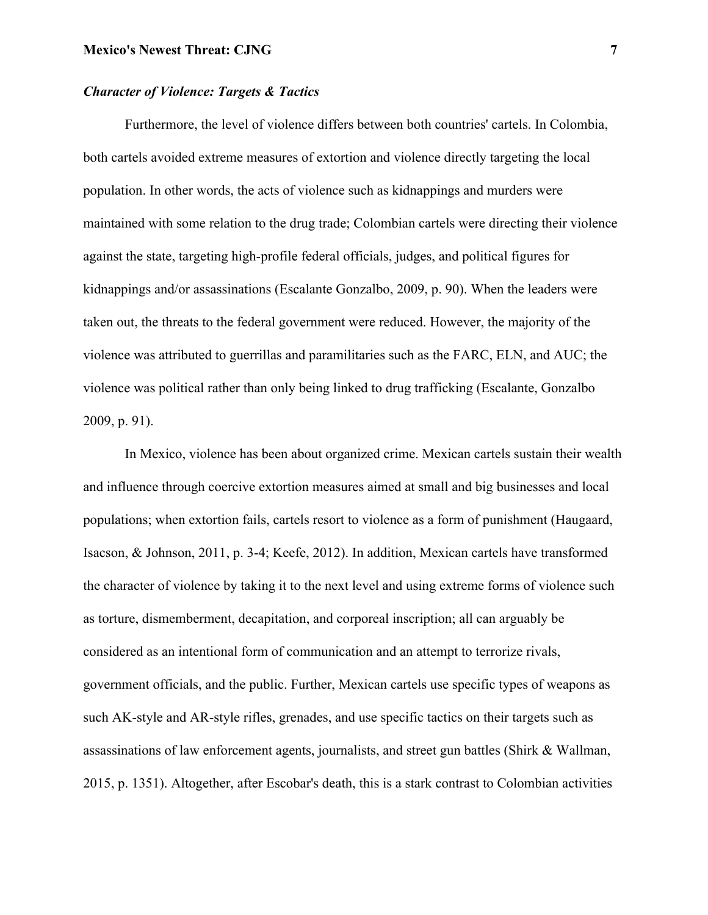# *Character of Violence: Targets & Tactics*

Furthermore, the level of violence differs between both countries' cartels. In Colombia, both cartels avoided extreme measures of extortion and violence directly targeting the local population. In other words, the acts of violence such as kidnappings and murders were maintained with some relation to the drug trade; Colombian cartels were directing their violence against the state, targeting high-profile federal officials, judges, and political figures for kidnappings and/or assassinations (Escalante Gonzalbo, 2009, p. 90). When the leaders were taken out, the threats to the federal government were reduced. However, the majority of the violence was attributed to guerrillas and paramilitaries such as the FARC, ELN, and AUC; the violence was political rather than only being linked to drug trafficking (Escalante, Gonzalbo 2009, p. 91).

In Mexico, violence has been about organized crime. Mexican cartels sustain their wealth and influence through coercive extortion measures aimed at small and big businesses and local populations; when extortion fails, cartels resort to violence as a form of punishment (Haugaard, Isacson, & Johnson, 2011, p. 3-4; Keefe, 2012). In addition, Mexican cartels have transformed the character of violence by taking it to the next level and using extreme forms of violence such as torture, dismemberment, decapitation, and corporeal inscription; all can arguably be considered as an intentional form of communication and an attempt to terrorize rivals, government officials, and the public. Further, Mexican cartels use specific types of weapons as such AK-style and AR-style rifles, grenades, and use specific tactics on their targets such as assassinations of law enforcement agents, journalists, and street gun battles (Shirk & Wallman, 2015, p. 1351). Altogether, after Escobar's death, this is a stark contrast to Colombian activities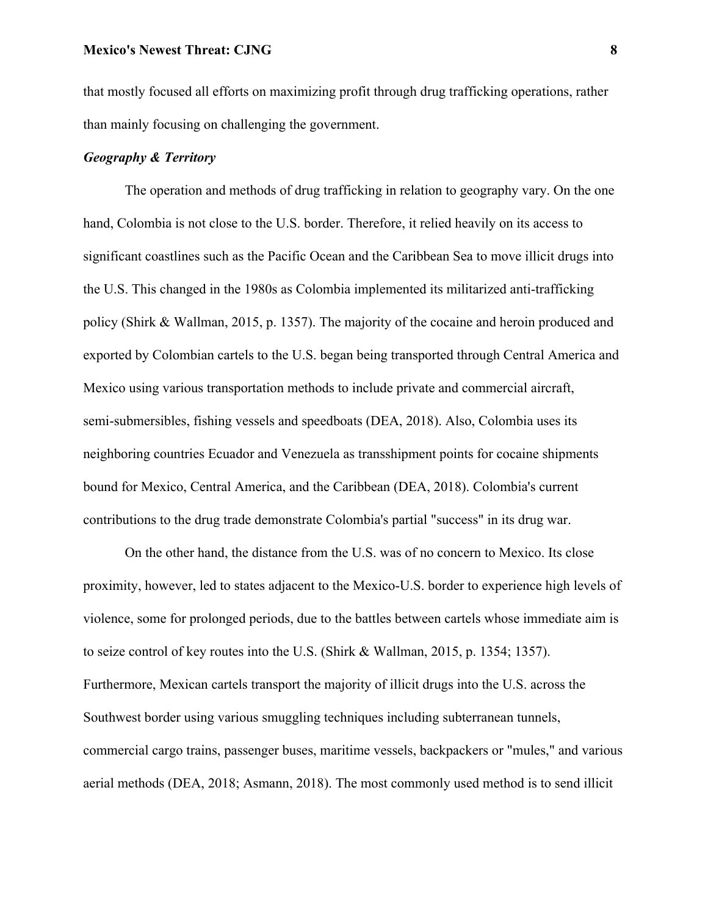that mostly focused all efforts on maximizing profit through drug trafficking operations, rather than mainly focusing on challenging the government.

# *Geography & Territory*

The operation and methods of drug trafficking in relation to geography vary. On the one hand, Colombia is not close to the U.S. border. Therefore, it relied heavily on its access to significant coastlines such as the Pacific Ocean and the Caribbean Sea to move illicit drugs into the U.S. This changed in the 1980s as Colombia implemented its militarized anti-trafficking policy (Shirk & Wallman, 2015, p. 1357). The majority of the cocaine and heroin produced and exported by Colombian cartels to the U.S. began being transported through Central America and Mexico using various transportation methods to include private and commercial aircraft, semi-submersibles, fishing vessels and speedboats (DEA, 2018). Also, Colombia uses its neighboring countries Ecuador and Venezuela as transshipment points for cocaine shipments bound for Mexico, Central America, and the Caribbean (DEA, 2018). Colombia's current contributions to the drug trade demonstrate Colombia's partial "success" in its drug war.

On the other hand, the distance from the U.S. was of no concern to Mexico. Its close proximity, however, led to states adjacent to the Mexico-U.S. border to experience high levels of violence, some for prolonged periods, due to the battles between cartels whose immediate aim is to seize control of key routes into the U.S. (Shirk & Wallman, 2015, p. 1354; 1357). Furthermore, Mexican cartels transport the majority of illicit drugs into the U.S. across the Southwest border using various smuggling techniques including subterranean tunnels, commercial cargo trains, passenger buses, maritime vessels, backpackers or "mules," and various aerial methods (DEA, 2018; Asmann, 2018). The most commonly used method is to send illicit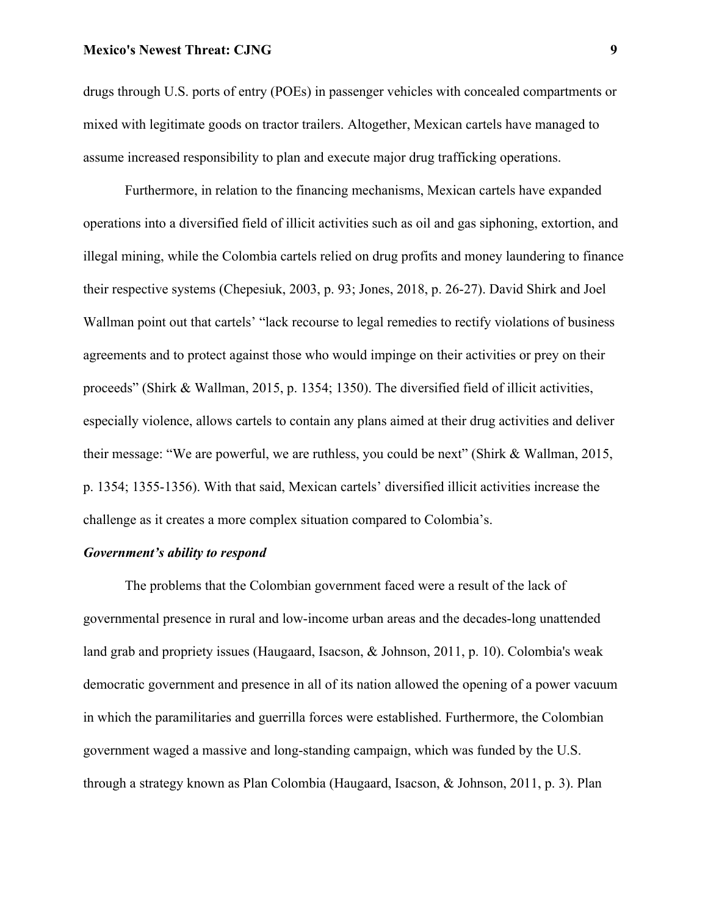drugs through U.S. ports of entry (POEs) in passenger vehicles with concealed compartments or mixed with legitimate goods on tractor trailers. Altogether, Mexican cartels have managed to assume increased responsibility to plan and execute major drug trafficking operations.

Furthermore, in relation to the financing mechanisms, Mexican cartels have expanded operations into a diversified field of illicit activities such as oil and gas siphoning, extortion, and illegal mining, while the Colombia cartels relied on drug profits and money laundering to finance their respective systems (Chepesiuk, 2003, p. 93; Jones, 2018, p. 26-27). David Shirk and Joel Wallman point out that cartels' "lack recourse to legal remedies to rectify violations of business agreements and to protect against those who would impinge on their activities or prey on their proceeds" (Shirk & Wallman, 2015, p. 1354; 1350). The diversified field of illicit activities, especially violence, allows cartels to contain any plans aimed at their drug activities and deliver their message: "We are powerful, we are ruthless, you could be next" (Shirk & Wallman, 2015, p. 1354; 1355-1356). With that said, Mexican cartels' diversified illicit activities increase the challenge as it creates a more complex situation compared to Colombia's.

# *Government's ability to respond*

The problems that the Colombian government faced were a result of the lack of governmental presence in rural and low-income urban areas and the decades-long unattended land grab and propriety issues (Haugaard, Isacson, & Johnson, 2011, p. 10). Colombia's weak democratic government and presence in all of its nation allowed the opening of a power vacuum in which the paramilitaries and guerrilla forces were established. Furthermore, the Colombian government waged a massive and long-standing campaign, which was funded by the U.S. through a strategy known as Plan Colombia (Haugaard, Isacson, & Johnson, 2011, p. 3). Plan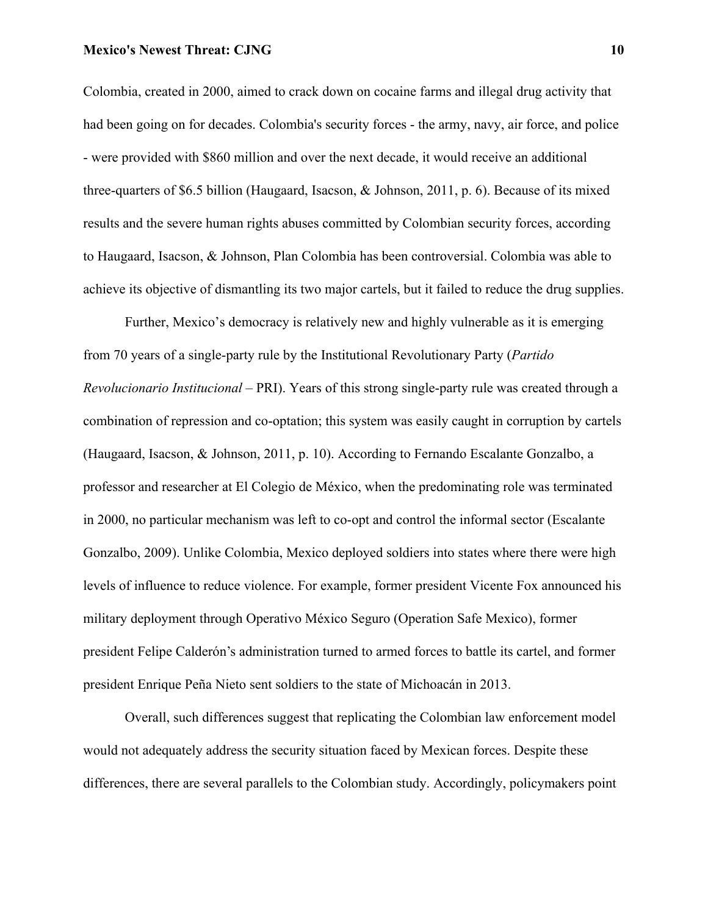Colombia, created in 2000, aimed to crack down on cocaine farms and illegal drug activity that had been going on for decades. Colombia's security forces - the army, navy, air force, and police - were provided with \$860 million and over the next decade, it would receive an additional three-quarters of \$6.5 billion (Haugaard, Isacson, & Johnson, 2011, p. 6). Because of its mixed results and the severe human rights abuses committed by Colombian security forces, according to Haugaard, Isacson, & Johnson, Plan Colombia has been controversial. Colombia was able to achieve its objective of dismantling its two major cartels, but it failed to reduce the drug supplies.

Further, Mexico's democracy is relatively new and highly vulnerable as it is emerging from 70 years of a single-party rule by the Institutional Revolutionary Party (*Partido Revolucionario Institucional –* PRI). Years of this strong single-party rule was created through a combination of repression and co-optation; this system was easily caught in corruption by cartels (Haugaard, Isacson, & Johnson, 2011, p. 10). According to Fernando Escalante Gonzalbo, a professor and researcher at El Colegio de México, when the predominating role was terminated in 2000, no particular mechanism was left to co-opt and control the informal sector (Escalante Gonzalbo, 2009). Unlike Colombia, Mexico deployed soldiers into states where there were high levels of influence to reduce violence. For example, former president Vicente Fox announced his military deployment through Operativo México Seguro (Operation Safe Mexico), former president Felipe Calderón's administration turned to armed forces to battle its cartel, and former president Enrique Peña Nieto sent soldiers to the state of Michoacán in 2013.

Overall, such differences suggest that replicating the Colombian law enforcement model would not adequately address the security situation faced by Mexican forces. Despite these differences, there are several parallels to the Colombian study. Accordingly, policymakers point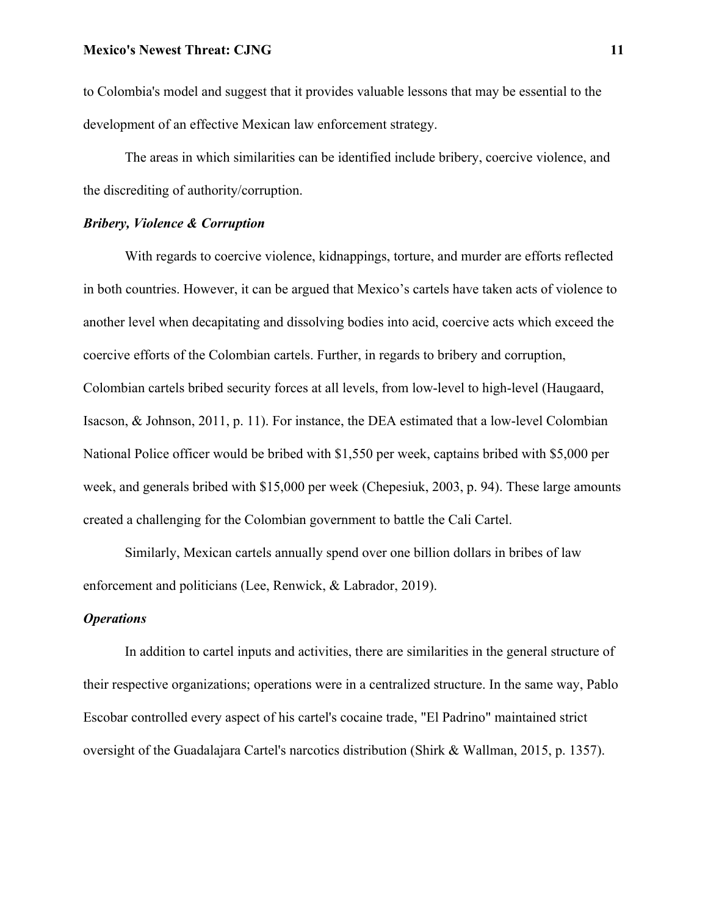to Colombia's model and suggest that it provides valuable lessons that may be essential to the development of an effective Mexican law enforcement strategy.

The areas in which similarities can be identified include bribery, coercive violence, and the discrediting of authority/corruption.

# *Bribery, Violence & Corruption*

With regards to coercive violence, kidnappings, torture, and murder are efforts reflected in both countries. However, it can be argued that Mexico's cartels have taken acts of violence to another level when decapitating and dissolving bodies into acid, coercive acts which exceed the coercive efforts of the Colombian cartels. Further, in regards to bribery and corruption, Colombian cartels bribed security forces at all levels, from low-level to high-level (Haugaard, Isacson, & Johnson, 2011, p. 11). For instance, the DEA estimated that a low-level Colombian National Police officer would be bribed with \$1,550 per week, captains bribed with \$5,000 per week, and generals bribed with \$15,000 per week (Chepesiuk, 2003, p. 94). These large amounts created a challenging for the Colombian government to battle the Cali Cartel.

Similarly, Mexican cartels annually spend over one billion dollars in bribes of law enforcement and politicians (Lee, Renwick, & Labrador, 2019).

# *Operations*

In addition to cartel inputs and activities, there are similarities in the general structure of their respective organizations; operations were in a centralized structure. In the same way, Pablo Escobar controlled every aspect of his cartel's cocaine trade, "El Padrino" maintained strict oversight of the Guadalajara Cartel's narcotics distribution (Shirk & Wallman, 2015, p. 1357).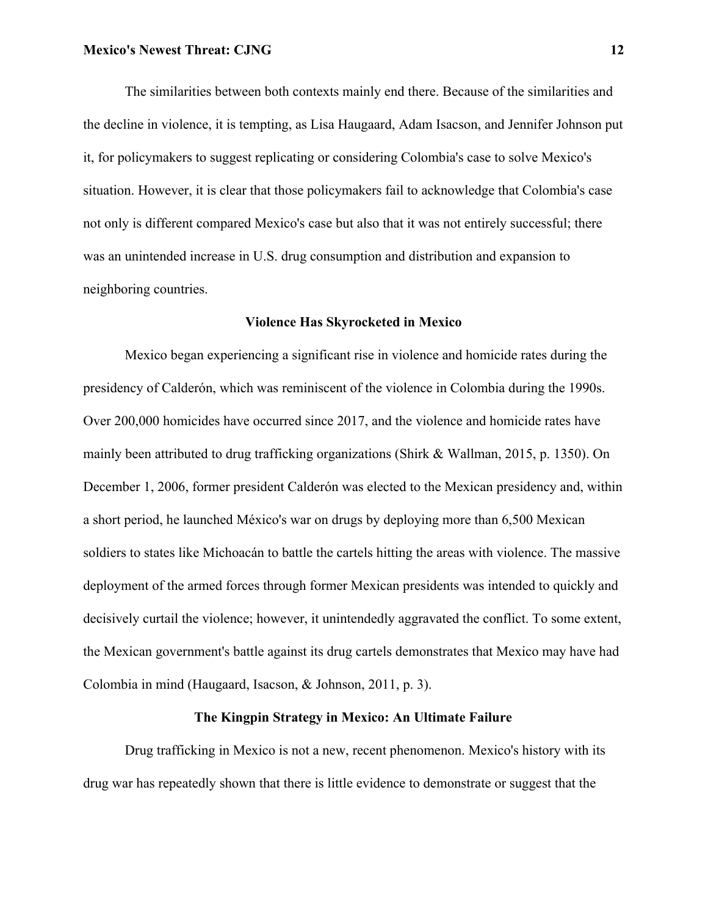The similarities between both contexts mainly end there. Because of the similarities and the decline in violence, it is tempting, as Lisa Haugaard, Adam Isacson, and Jennifer Johnson put it, for policymakers to suggest replicating or considering Colombia's case to solve Mexico's situation. However, it is clear that those policymakers fail to acknowledge that Colombia's case not only is different compared Mexico's case but also that it was not entirely successful; there was an unintended increase in U.S. drug consumption and distribution and expansion to neighboring countries.

## **Violence Has Skyrocketed in Mexico**

Mexico began experiencing a significant rise in violence and homicide rates during the presidency of Calderón, which was reminiscent of the violence in Colombia during the 1990s. Over 200,000 homicides have occurred since 2017, and the violence and homicide rates have mainly been attributed to drug trafficking organizations (Shirk & Wallman, 2015, p. 1350). On December 1, 2006, former president Calderón was elected to the Mexican presidency and, within a short period, he launched México's war on drugs by deploying more than 6,500 Mexican soldiers to states like Michoacán to battle the cartels hitting the areas with violence. The massive deployment of the armed forces through former Mexican presidents was intended to quickly and decisively curtail the violence; however, it unintendedly aggravated the conflict. To some extent, the Mexican government's battle against its drug cartels demonstrates that Mexico may have had Colombia in mind (Haugaard, Isacson, & Johnson, 2011, p. 3).

# **The Kingpin Strategy in Mexico: An Ultimate Failure**

Drug trafficking in Mexico is not a new, recent phenomenon. Mexico's history with its drug war has repeatedly shown that there is little evidence to demonstrate or suggest that the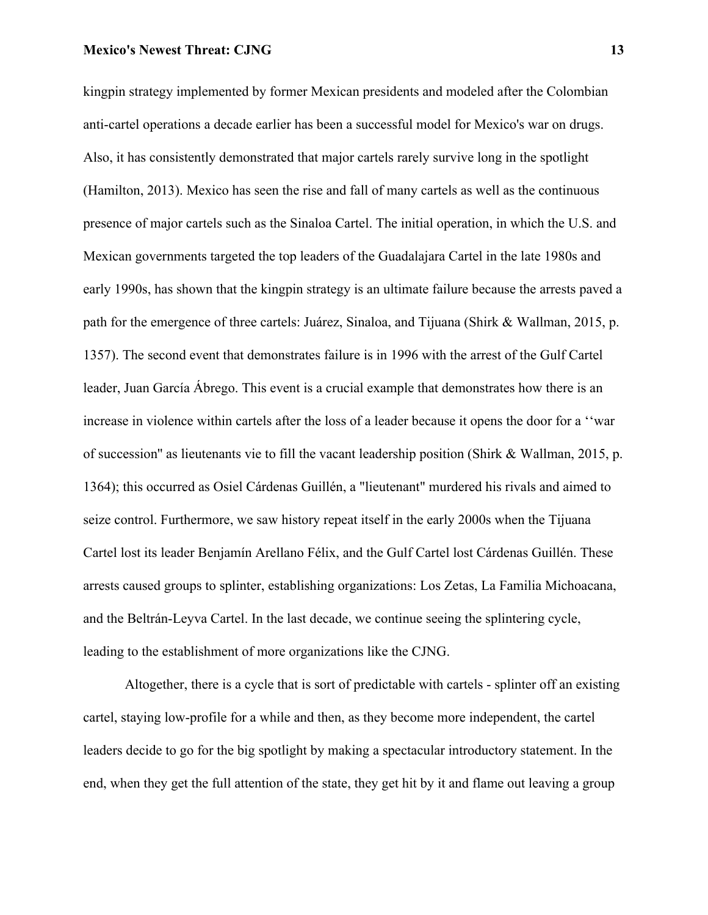kingpin strategy implemented by former Mexican presidents and modeled after the Colombian anti-cartel operations a decade earlier has been a successful model for Mexico's war on drugs. Also, it has consistently demonstrated that major cartels rarely survive long in the spotlight (Hamilton, 2013). Mexico has seen the rise and fall of many cartels as well as the continuous presence of major cartels such as the Sinaloa Cartel. The initial operation, in which the U.S. and Mexican governments targeted the top leaders of the Guadalajara Cartel in the late 1980s and early 1990s, has shown that the kingpin strategy is an ultimate failure because the arrests paved a path for the emergence of three cartels: Juárez, Sinaloa, and Tijuana (Shirk & Wallman, 2015, p. 1357). The second event that demonstrates failure is in 1996 with the arrest of the Gulf Cartel leader, Juan García Ábrego. This event is a crucial example that demonstrates how there is an increase in violence within cartels after the loss of a leader because it opens the door for a ''war of succession'' as lieutenants vie to fill the vacant leadership position (Shirk & Wallman, 2015, p. 1364); this occurred as Osiel Cárdenas Guillén, a "lieutenant" murdered his rivals and aimed to seize control. Furthermore, we saw history repeat itself in the early 2000s when the Tijuana Cartel lost its leader Benjamín Arellano Félix, and the Gulf Cartel lost Cárdenas Guillén. These arrests caused groups to splinter, establishing organizations: Los Zetas, La Familia Michoacana, and the Beltrán-Leyva Cartel. In the last decade, we continue seeing the splintering cycle, leading to the establishment of more organizations like the CJNG.

Altogether, there is a cycle that is sort of predictable with cartels - splinter off an existing cartel, staying low-profile for a while and then, as they become more independent, the cartel leaders decide to go for the big spotlight by making a spectacular introductory statement. In the end, when they get the full attention of the state, they get hit by it and flame out leaving a group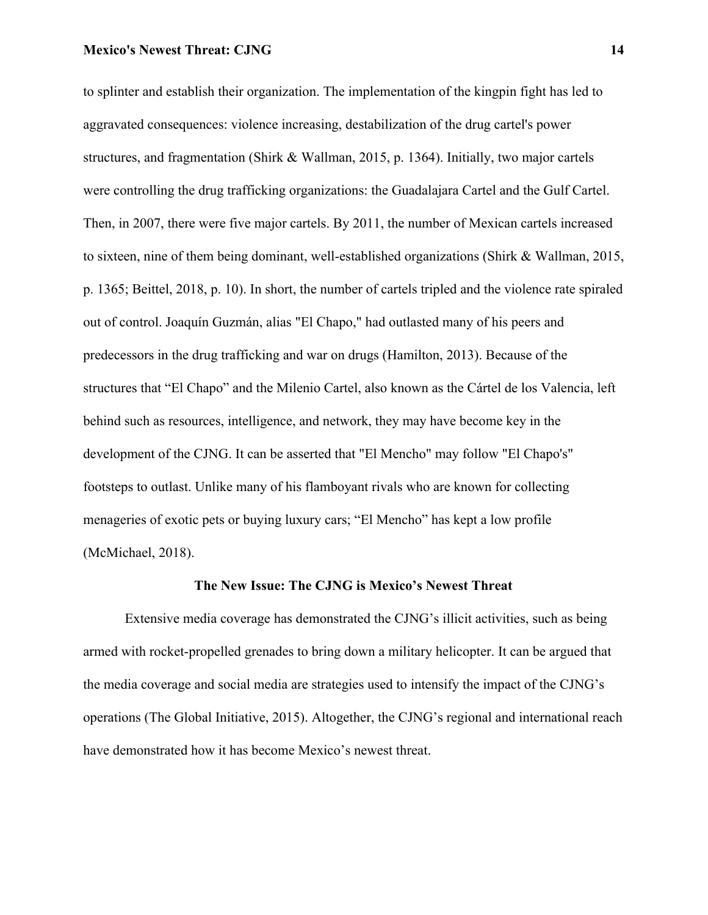to splinter and establish their organization. The implementation of the kingpin fight has led to aggravated consequences: violence increasing, destabilization of the drug cartel's power structures, and fragmentation (Shirk & Wallman, 2015, p. 1364). Initially, two major cartels were controlling the drug trafficking organizations: the Guadalajara Cartel and the Gulf Cartel. Then, in 2007, there were five major cartels. By 2011, the number of Mexican cartels increased to sixteen, nine of them being dominant, well-established organizations (Shirk & Wallman, 2015, p. 1365; Beittel, 2018, p. 10). In short, the number of cartels tripled and the violence rate spiraled out of control. Joaquín Guzmán, alias "El Chapo," had outlasted many of his peers and predecessors in the drug trafficking and war on drugs (Hamilton, 2013). Because of the structures that "El Chapo" and the Milenio Cartel, also known as the Cártel de los Valencia, left behind such as resources, intelligence, and network, they may have become key in the development of the CJNG. It can be asserted that "El Mencho" may follow "El Chapo's" footsteps to outlast. Unlike many of his flamboyant rivals who are known for collecting menageries of exotic pets or buying luxury cars; "El Mencho" has kept a low profile (McMichael, 2018).

# **The New Issue: The CJNG is Mexico's Newest Threat**

Extensive media coverage has demonstrated the CJNG's illicit activities, such as being armed with rocket-propelled grenades to bring down a military helicopter. It can be argued that the media coverage and social media are strategies used to intensify the impact of the CJNG's operations (The Global Initiative, 2015). Altogether, the CJNG's regional and international reach have demonstrated how it has become Mexico's newest threat.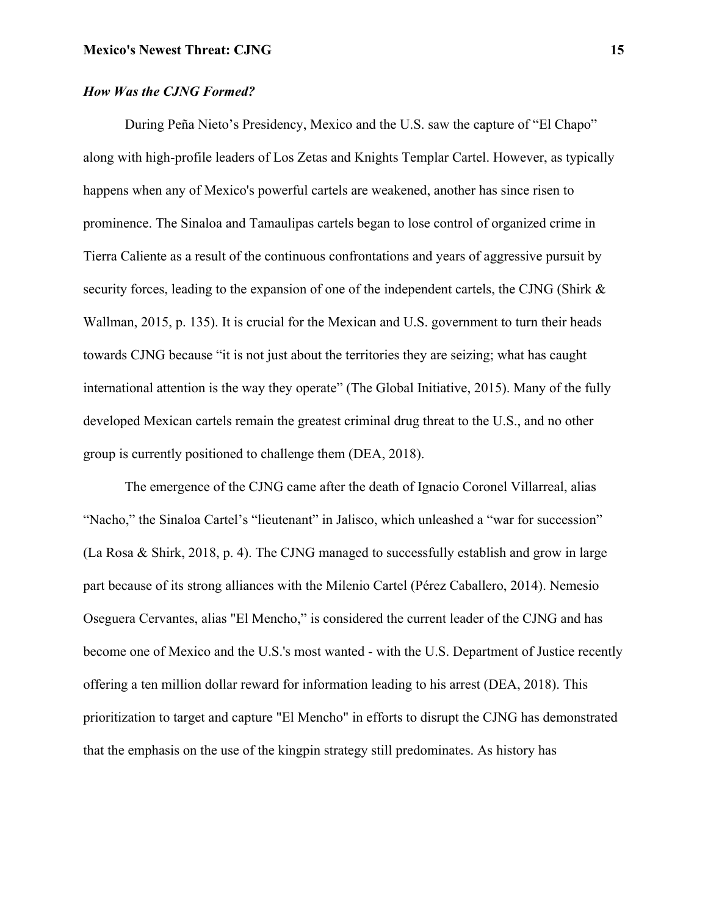# *How Was the CJNG Formed?*

During Peña Nieto's Presidency, Mexico and the U.S. saw the capture of "El Chapo" along with high-profile leaders of Los Zetas and Knights Templar Cartel. However, as typically happens when any of Mexico's powerful cartels are weakened, another has since risen to prominence. The Sinaloa and Tamaulipas cartels began to lose control of organized crime in Tierra Caliente as a result of the continuous confrontations and years of aggressive pursuit by security forces, leading to the expansion of one of the independent cartels, the CJNG (Shirk & Wallman, 2015, p. 135). It is crucial for the Mexican and U.S. government to turn their heads towards CJNG because "it is not just about the territories they are seizing; what has caught international attention is the way they operate" (The Global Initiative, 2015). Many of the fully developed Mexican cartels remain the greatest criminal drug threat to the U.S., and no other group is currently positioned to challenge them (DEA, 2018).

The emergence of the CJNG came after the death of Ignacio Coronel Villarreal, alias "Nacho," the Sinaloa Cartel's "lieutenant" in Jalisco, which unleashed a "war for succession" (La Rosa & Shirk, 2018, p. 4). The CJNG managed to successfully establish and grow in large part because of its strong alliances with the Milenio Cartel (Pérez Caballero, 2014). Nemesio Oseguera Cervantes, alias "El Mencho," is considered the current leader of the CJNG and has become one of Mexico and the U.S.'s most wanted - with the U.S. Department of Justice recently offering a ten million dollar reward for information leading to his arrest (DEA, 2018). This prioritization to target and capture "El Mencho" in efforts to disrupt the CJNG has demonstrated that the emphasis on the use of the kingpin strategy still predominates. As history has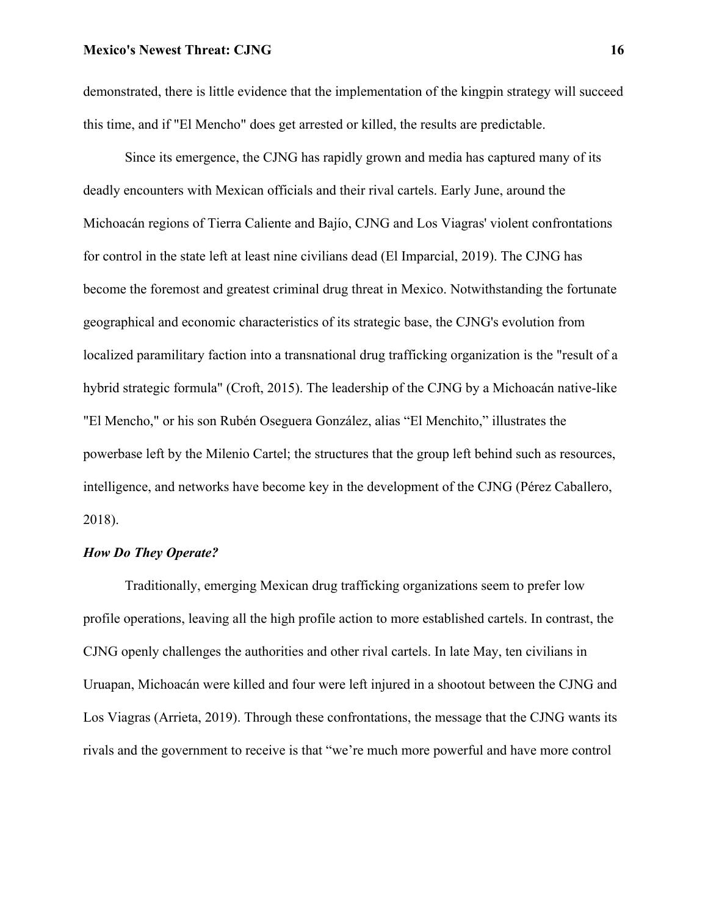demonstrated, there is little evidence that the implementation of the kingpin strategy will succeed this time, and if "El Mencho" does get arrested or killed, the results are predictable.

Since its emergence, the CJNG has rapidly grown and media has captured many of its deadly encounters with Mexican officials and their rival cartels. Early June, around the Michoacán regions of Tierra Caliente and Bajío, CJNG and Los Viagras' violent confrontations for control in the state left at least nine civilians dead (El Imparcial, 2019). The CJNG has become the foremost and greatest criminal drug threat in Mexico. Notwithstanding the fortunate geographical and economic characteristics of its strategic base, the CJNG's evolution from localized paramilitary faction into a transnational drug trafficking organization is the "result of a hybrid strategic formula" (Croft, 2015). The leadership of the CJNG by a Michoacán native-like "El Mencho," or his son Rubén Oseguera González, alias "El Menchito," illustrates the powerbase left by the Milenio Cartel; the structures that the group left behind such as resources, intelligence, and networks have become key in the development of the CJNG (Pérez Caballero, 2018).

# *How Do They Operate?*

Traditionally, emerging Mexican drug trafficking organizations seem to prefer low profile operations, leaving all the high profile action to more established cartels. In contrast, the CJNG openly challenges the authorities and other rival cartels. In late May, ten civilians in Uruapan, Michoacán were killed and four were left injured in a shootout between the CJNG and Los Viagras (Arrieta, 2019). Through these confrontations, the message that the CJNG wants its rivals and the government to receive is that "we're much more powerful and have more control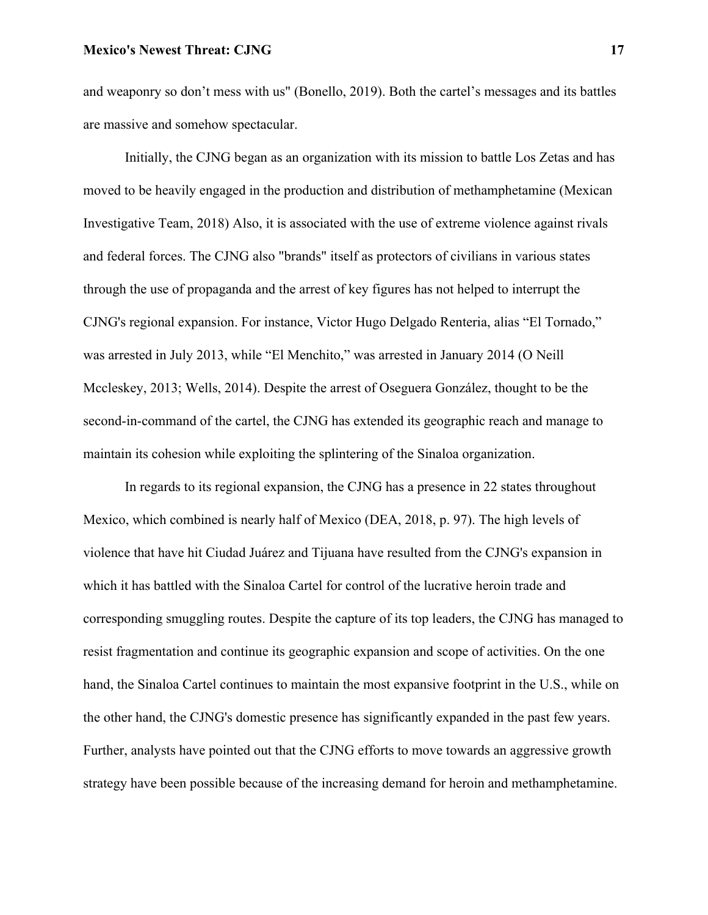and weaponry so don't mess with us" (Bonello, 2019). Both the cartel's messages and its battles are massive and somehow spectacular.

Initially, the CJNG began as an organization with its mission to battle Los Zetas and has moved to be heavily engaged in the production and distribution of methamphetamine (Mexican Investigative Team, 2018) Also, it is associated with the use of extreme violence against rivals and federal forces. The CJNG also "brands" itself as protectors of civilians in various states through the use of propaganda and the arrest of key figures has not helped to interrupt the CJNG's regional expansion. For instance, Victor Hugo Delgado Renteria, alias "El Tornado," was arrested in July 2013, while "El Menchito," was arrested in January 2014 (O Neill Mccleskey, 2013; Wells, 2014). Despite the arrest of Oseguera González, thought to be the second-in-command of the cartel, the CJNG has extended its geographic reach and manage to maintain its cohesion while exploiting the splintering of the Sinaloa organization.

In regards to its regional expansion, the CJNG has a presence in 22 states throughout Mexico, which combined is nearly half of Mexico (DEA, 2018, p. 97). The high levels of violence that have hit Ciudad Juárez and Tijuana have resulted from the CJNG's expansion in which it has battled with the Sinaloa Cartel for control of the lucrative heroin trade and corresponding smuggling routes. Despite the capture of its top leaders, the CJNG has managed to resist fragmentation and continue its geographic expansion and scope of activities. On the one hand, the Sinaloa Cartel continues to maintain the most expansive footprint in the U.S., while on the other hand, the CJNG's domestic presence has significantly expanded in the past few years. Further, analysts have pointed out that the CJNG efforts to move towards an aggressive growth strategy have been possible because of the increasing demand for heroin and methamphetamine.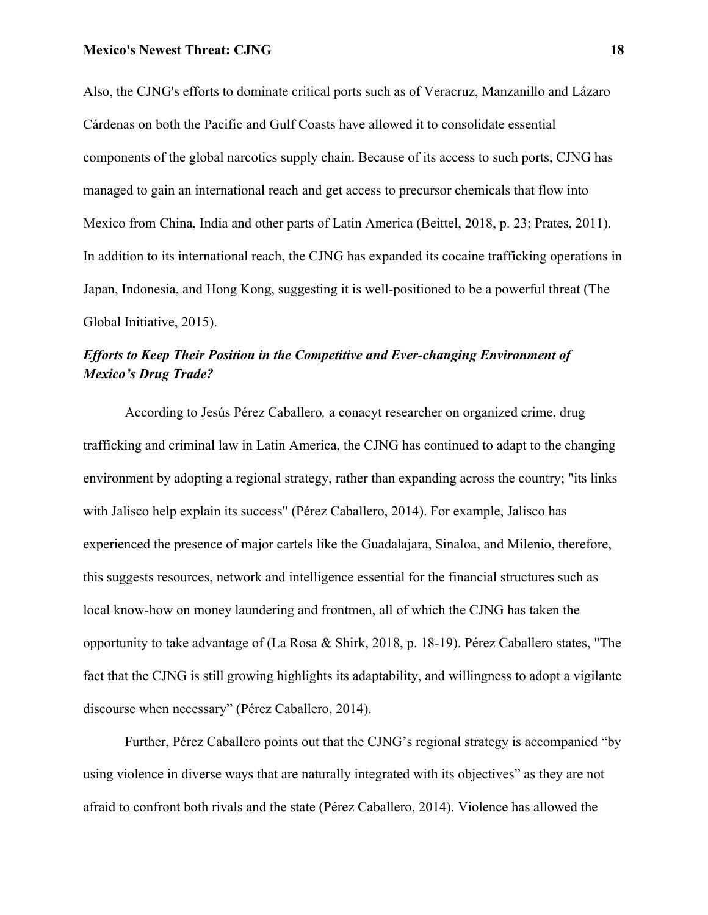Also, the CJNG's efforts to dominate critical ports such as of Veracruz, Manzanillo and Lázaro Cárdenas on both the Pacific and Gulf Coasts have allowed it to consolidate essential components of the global narcotics supply chain. Because of its access to such ports, CJNG has managed to gain an international reach and get access to precursor chemicals that flow into Mexico from China, India and other parts of Latin America (Beittel, 2018, p. 23; Prates, 2011). In addition to its international reach, the CJNG has expanded its cocaine trafficking operations in Japan, Indonesia, and Hong Kong, suggesting it is well-positioned to be a powerful threat (The Global Initiative, 2015).

# *Efforts to Keep Their Position in the Competitive and Ever-changing Environment of Mexico's Drug Trade?*

According to Jesús Pérez Caballero*,* a conacyt researcher on organized crime, drug trafficking and criminal law in Latin America, the CJNG has continued to adapt to the changing environment by adopting a regional strategy, rather than expanding across the country; "its links with Jalisco help explain its success" (Pérez Caballero, 2014). For example, Jalisco has experienced the presence of major cartels like the Guadalajara, Sinaloa, and Milenio, therefore, this suggests resources, network and intelligence essential for the financial structures such as local know-how on money laundering and frontmen, all of which the CJNG has taken the opportunity to take advantage of (La Rosa & Shirk, 2018, p. 18-19). Pérez Caballero states, "The fact that the CJNG is still growing highlights its adaptability, and willingness to adopt a vigilante discourse when necessary" (Pérez Caballero, 2014).

Further, Pérez Caballero points out that the CJNG's regional strategy is accompanied "by using violence in diverse ways that are naturally integrated with its objectives" as they are not afraid to confront both rivals and the state (Pérez Caballero, 2014). Violence has allowed the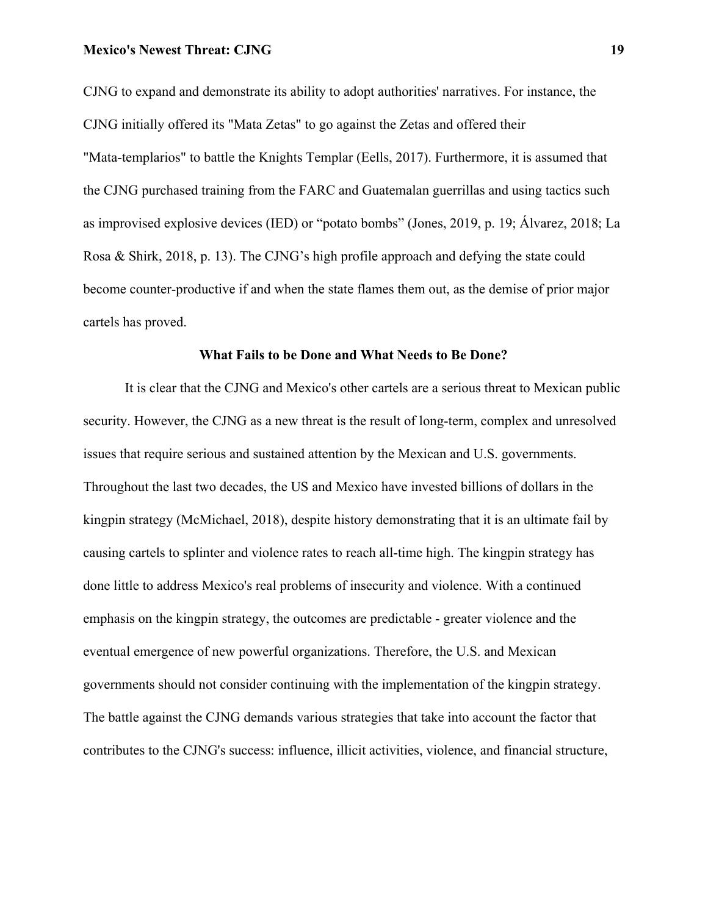CJNG to expand and demonstrate its ability to adopt authorities' narratives. For instance, the CJNG initially offered its "Mata Zetas" to go against the Zetas and offered their "Mata-templarios" to battle the Knights Templar (Eells, 2017). Furthermore, it is assumed that the CJNG purchased training from the FARC and Guatemalan guerrillas and using tactics such as improvised explosive devices (IED) or "potato bombs" (Jones, 2019, p. 19; Álvarez, 2018; La Rosa & Shirk, 2018, p. 13). The CJNG's high profile approach and defying the state could become counter-productive if and when the state flames them out, as the demise of prior major cartels has proved.

# **What Fails to be Done and What Needs to Be Done?**

It is clear that the CJNG and Mexico's other cartels are a serious threat to Mexican public security. However, the CJNG as a new threat is the result of long-term, complex and unresolved issues that require serious and sustained attention by the Mexican and U.S. governments. Throughout the last two decades, the US and Mexico have invested billions of dollars in the kingpin strategy (McMichael, 2018), despite history demonstrating that it is an ultimate fail by causing cartels to splinter and violence rates to reach all-time high. The kingpin strategy has done little to address Mexico's real problems of insecurity and violence. With a continued emphasis on the kingpin strategy, the outcomes are predictable - greater violence and the eventual emergence of new powerful organizations. Therefore, the U.S. and Mexican governments should not consider continuing with the implementation of the kingpin strategy. The battle against the CJNG demands various strategies that take into account the factor that contributes to the CJNG's success: influence, illicit activities, violence, and financial structure,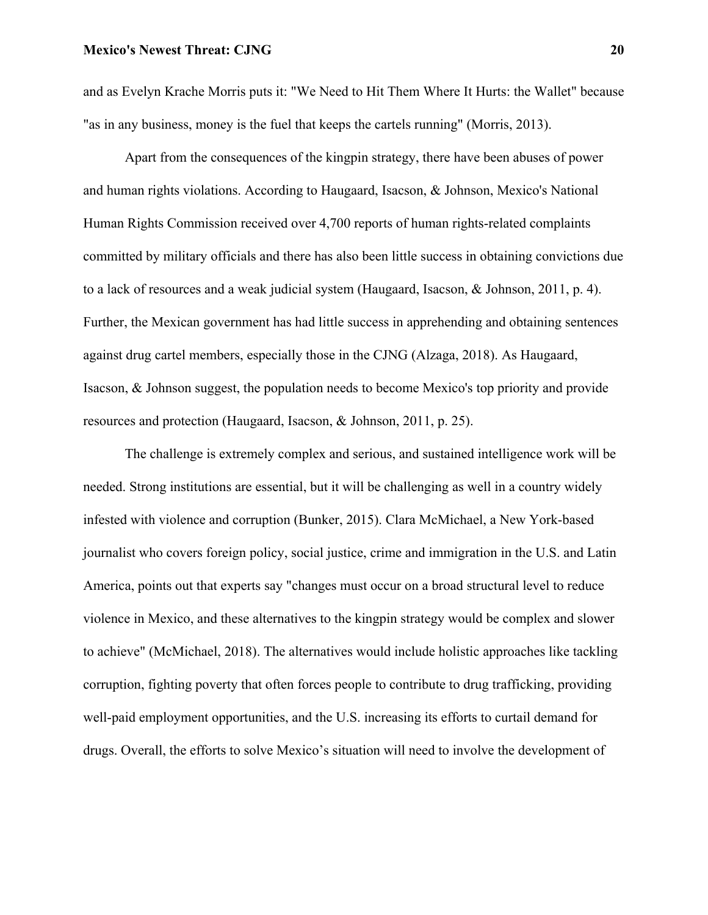and as Evelyn Krache Morris puts it: "We Need to Hit Them Where It Hurts: the Wallet" because "as in any business, money is the fuel that keeps the cartels running" (Morris, 2013).

Apart from the consequences of the kingpin strategy, there have been abuses of power and human rights violations. According to Haugaard, Isacson, & Johnson, Mexico's National Human Rights Commission received over 4,700 reports of human rights-related complaints committed by military officials and there has also been little success in obtaining convictions due to a lack of resources and a weak judicial system (Haugaard, Isacson, & Johnson, 2011, p. 4). Further, the Mexican government has had little success in apprehending and obtaining sentences against drug cartel members, especially those in the CJNG (Alzaga, 2018). As Haugaard, Isacson, & Johnson suggest, the population needs to become Mexico's top priority and provide resources and protection (Haugaard, Isacson, & Johnson, 2011, p. 25).

The challenge is extremely complex and serious, and sustained intelligence work will be needed. Strong institutions are essential, but it will be challenging as well in a country widely infested with violence and corruption (Bunker, 2015). Clara McMichael, a New York-based journalist who covers foreign policy, social justice, crime and immigration in the U.S. and Latin America, points out that experts say "changes must occur on a broad structural level to reduce violence in Mexico, and these alternatives to the kingpin strategy would be complex and slower to achieve" (McMichael, 2018). The alternatives would include holistic approaches like tackling corruption, fighting poverty that often forces people to contribute to drug trafficking, providing well-paid employment opportunities, and the U.S. increasing its efforts to curtail demand for drugs. Overall, the efforts to solve Mexico's situation will need to involve the development of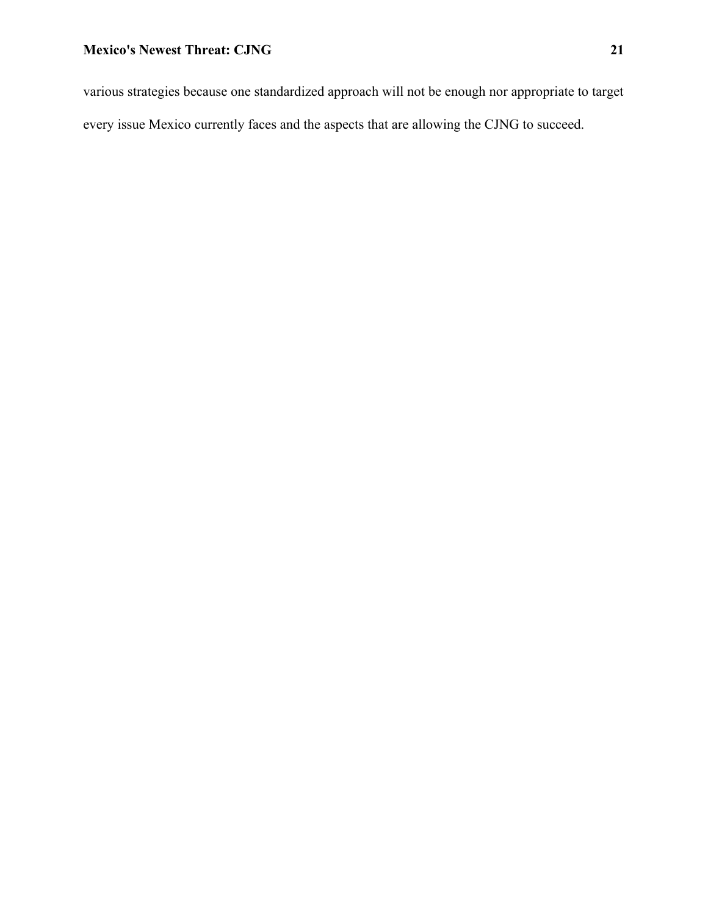various strategies because one standardized approach will not be enough nor appropriate to target every issue Mexico currently faces and the aspects that are allowing the CJNG to succeed.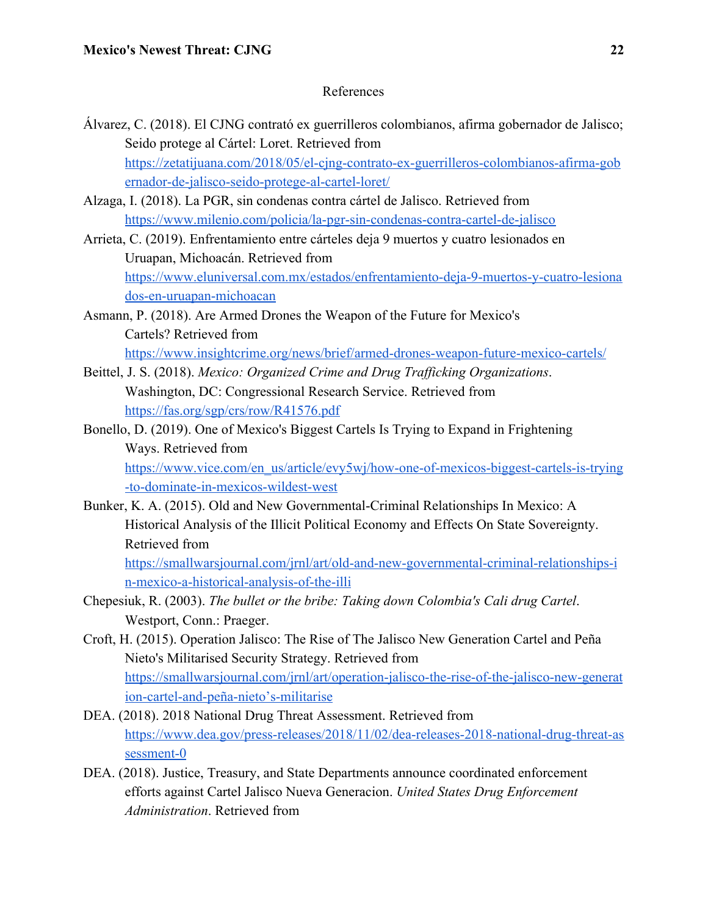# References

- Álvarez, C. (2018). El CJNG contrató ex guerrilleros colombianos, afirma gobernador de Jalisco; Seido protege al Cártel: Loret. Retrieved from [https://zetatijuana.com/2018/05/el-cjng-contrato-ex-guerrilleros-colombianos-afirma-gob](https://zetatijuana.com/2018/05/el-cjng-contrato-ex-guerrilleros-colombianos-afirma-gobernador-de-jalisco-seido-protege-al-cartel-loret/) [ernador-de-jalisco-seido-protege-al-cartel-loret/](https://zetatijuana.com/2018/05/el-cjng-contrato-ex-guerrilleros-colombianos-afirma-gobernador-de-jalisco-seido-protege-al-cartel-loret/)
- Alzaga, I. (2018). La PGR, sin condenas contra cártel de Jalisco. Retrieved from <https://www.milenio.com/policia/la-pgr-sin-condenas-contra-cartel-de-jalisco>
- Arrieta, C. (2019). Enfrentamiento entre cárteles deja 9 muertos y cuatro lesionados en Uruapan, Michoacán. Retrieved from [https://www.eluniversal.com.mx/estados/enfrentamiento-deja-9-muertos-y-cuatro-lesiona](https://www.eluniversal.com.mx/estados/enfrentamiento-deja-9-muertos-y-cuatro-lesionados-en-uruapan-michoacan) [dos-en-uruapan-michoacan](https://www.eluniversal.com.mx/estados/enfrentamiento-deja-9-muertos-y-cuatro-lesionados-en-uruapan-michoacan)
- Asmann, P. (2018). Are Armed Drones the Weapon of the Future for Mexico's Cartels? Retrieved from <https://www.insightcrime.org/news/brief/armed-drones-weapon-future-mexico-cartels/>
- Beittel, J. S. (2018). *Mexico: Organized Crime and Drug Trafficking Organizations*. Washington, DC: Congressional Research Service. Retrieved from <https://fas.org/sgp/crs/row/R41576.pdf>
- Bonello, D. (2019). One of Mexico's Biggest Cartels Is Trying to Expand in Frightening Ways. Retrieved from [https://www.vice.com/en\\_us/article/evy5wj/how-one-of-mexicos-biggest-cartels-is-trying](https://www.vice.com/en_us/article/evy5wj/how-one-of-mexicos-biggest-cartels-is-trying-to-dominate-in-mexicos-wildest-west)

[-to-dominate-in-mexicos-wildest-west](https://www.vice.com/en_us/article/evy5wj/how-one-of-mexicos-biggest-cartels-is-trying-to-dominate-in-mexicos-wildest-west)

Bunker, K. A. (2015). Old and New Governmental-Criminal Relationships In Mexico: A Historical Analysis of the Illicit Political Economy and Effects On State Sovereignty. Retrieved from [https://smallwarsjournal.com/jrnl/art/old-and-new-governmental-criminal-relationships-i](https://smallwarsjournal.com/jrnl/art/old-and-new-governmental-criminal-relationships-in-mexico-a-historical-analysis-of-the-illi)

[n-mexico-a-historical-analysis-of-the-illi](https://smallwarsjournal.com/jrnl/art/old-and-new-governmental-criminal-relationships-in-mexico-a-historical-analysis-of-the-illi)

- Chepesiuk, R. (2003). *The bullet or the bribe: Taking down Colombia's Cali drug Cartel*. Westport, Conn.: Praeger.
- Croft, H. (2015). Operation Jalisco: The Rise of The Jalisco New Generation Cartel and Peña Nieto's Militarised Security Strategy. Retrieved from [https://smallwarsjournal.com/jrnl/art/operation-jalisco-the-rise-of-the-jalisco-new-generat](https://smallwarsjournal.com/jrnl/art/operation-jalisco-the-rise-of-the-jalisco-new-generation-cartel-and-pe%C3%B1a-nieto%E2%80%99s-militarise) [ion-cartel-and-peña-nieto's-militarise](https://smallwarsjournal.com/jrnl/art/operation-jalisco-the-rise-of-the-jalisco-new-generation-cartel-and-pe%C3%B1a-nieto%E2%80%99s-militarise)
- DEA. (2018). 2018 National Drug Threat Assessment. Retrieved from [https://www.dea.gov/press-releases/2018/11/02/dea-releases-2018-national-drug-threat-as](https://www.dea.gov/press-releases/2018/11/02/dea-releases-2018-national-drug-threat-assessment-0%E2%80%8B) [sessment-0](https://www.dea.gov/press-releases/2018/11/02/dea-releases-2018-national-drug-threat-assessment-0%E2%80%8B)
- DEA. (2018). Justice, Treasury, and State Departments announce coordinated enforcement efforts against Cartel Jalisco Nueva Generacion. *United States Drug Enforcement Administration*. Retrieved from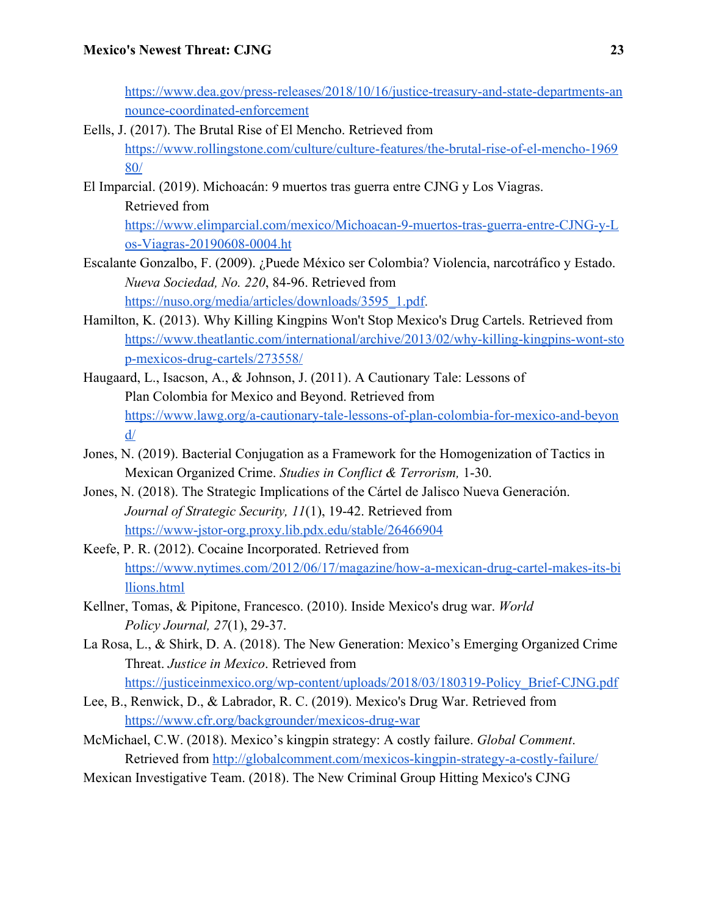[https://www.dea.gov/press-releases/2018/10/16/justice-treasury-and-state-departments-an](https://www.dea.gov/press-releases/2018/10/16/justice-treasury-and-state-departments-announce-coordinated-enforcement) [nounce-coordinated-enforcement](https://www.dea.gov/press-releases/2018/10/16/justice-treasury-and-state-departments-announce-coordinated-enforcement)

- Eells, J. (2017). The Brutal Rise of El Mencho. Retrieved from [https://www.rollingstone.com/culture/culture-features/the-brutal-rise-of-el-mencho-1969](https://www.rollingstone.com/culture/culture-features/the-brutal-rise-of-el-mencho-196980/) [80/](https://www.rollingstone.com/culture/culture-features/the-brutal-rise-of-el-mencho-196980/)
- El Imparcial. (2019). Michoacán: 9 muertos tras guerra entre CJNG y Los Viagras. Retrieved from

[https://www.elimparcial.com/mexico/Michoacan-9-muertos-tras-guerra-entre-CJNG-y-L](https://www.elimparcial.com/mexico/Michoacan-9-muertos-tras-guerra-entre-CJNG-y-Los-Viagras-20190608-0004.ht) [os-Viagras-20190608-0004.ht](https://www.elimparcial.com/mexico/Michoacan-9-muertos-tras-guerra-entre-CJNG-y-Los-Viagras-20190608-0004.ht)

- Escalante Gonzalbo, F. (2009). ¿Puede México ser Colombia? Violencia, narcotráfico y Estado. *Nueva Sociedad, No. 220*, 84-96. Retrieved from [https://nuso.org/media/articles/downloads/3595\\_1.pdf.](https://nuso.org/media/articles/downloads/3595_1.pdf)
- Hamilton, K. (2013). Why Killing Kingpins Won't Stop Mexico's Drug Cartels. Retrieved from [https://www.theatlantic.com/international/archive/2013/02/why-killing-kingpins-wont-sto](https://www.theatlantic.com/international/archive/2013/02/why-killing-kingpins-wont-stop-mexicos-drug-cartels/273558/%E2%80%8B) [p-mexicos-drug-cartels/273558/](https://www.theatlantic.com/international/archive/2013/02/why-killing-kingpins-wont-stop-mexicos-drug-cartels/273558/%E2%80%8B)
- Haugaard, L., Isacson, A., & Johnson, J. (2011). A Cautionary Tale: Lessons of Plan Colombia for Mexico and Beyond. Retrieved from [https://www.lawg.org/a-cautionary-tale-lessons-of-plan-colombia-for-mexico-and-beyon](https://www.lawg.org/a-cautionary-tale-lessons-of-plan-colombia-for-mexico-and-beyond/) [d/](https://www.lawg.org/a-cautionary-tale-lessons-of-plan-colombia-for-mexico-and-beyond/)
- Jones, N. (2019). Bacterial Conjugation as a Framework for the Homogenization of Tactics in Mexican Organized Crime. *Studies in Conflict & Terrorism,* 1-30.
- Jones, N. (2018). The Strategic Implications of the Cártel de Jalisco Nueva Generación. *Journal of Strategic Security, 11*(1), 19-42. Retrieved from <https://www-jstor-org.proxy.lib.pdx.edu/stable/26466904>
- Keefe, P. R. (2012). Cocaine Incorporated. Retrieved from [https://www.nytimes.com/2012/06/17/magazine/how-a-mexican-drug-cartel-makes-its-bi](https://www.nytimes.com/2012/06/17/magazine/how-a-mexican-drug-cartel-makes-its-billions.html) [llions.html](https://www.nytimes.com/2012/06/17/magazine/how-a-mexican-drug-cartel-makes-its-billions.html)
- Kellner, Tomas, & Pipitone, Francesco. (2010). Inside Mexico's drug war. *World Policy Journal, 27*(1), 29-37.
- La Rosa, L., & Shirk, D. A. (2018). The New Generation: Mexico's Emerging Organized Crime Threat. *Justice in Mexico*. Retrieved from [https://justiceinmexico.org/wp-content/uploads/2018/03/180319-Policy\\_Brief-CJNG.pdf](https://justiceinmexico.org/wp-content/uploads/2018/03/180319-Policy_Brief-CJNG.pdf)
- Lee, B., Renwick, D., & Labrador, R. C. (2019). Mexico's Drug War. Retrieved from <https://www.cfr.org/backgrounder/mexicos-drug-war>
- McMichael, C.W. (2018). Mexico's kingpin strategy: A costly failure. *Global Comment*. Retrieved from <http://globalcomment.com/mexicos-kingpin-strategy-a-costly-failure/>
- Mexican Investigative Team. (2018). The New Criminal Group Hitting Mexico's CJNG